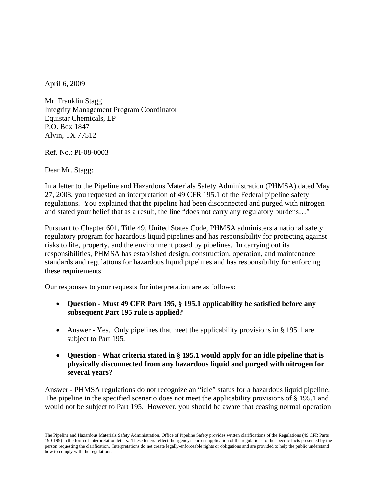April 6, 2009

Mr. Franklin Stagg Integrity Management Program Coordinator Equistar Chemicals, LP P.O. Box 1847 Alvin, TX 77512

Ref. No.: PI-08-0003

Dear Mr. Stagg:

In a letter to the Pipeline and Hazardous Materials Safety Administration (PHMSA) dated May 27, 2008, you requested an interpretation of 49 CFR 195.1 of the Federal pipeline safety regulations. You explained that the pipeline had been disconnected and purged with nitrogen and stated your belief that as a result, the line "does not carry any regulatory burdens…"

Pursuant to Chapter 601, Title 49, United States Code, PHMSA administers a national safety regulatory program for hazardous liquid pipelines and has responsibility for protecting against risks to life, property, and the environment posed by pipelines. In carrying out its responsibilities, PHMSA has established design, construction, operation, and maintenance standards and regulations for hazardous liquid pipelines and has responsibility for enforcing these requirements.

Our responses to your requests for interpretation are as follows:

- **Question Must 49 CFR Part 195, § 195.1 applicability be satisfied before any subsequent Part 195 rule is applied?**
- Answer Yes. Only pipelines that meet the applicability provisions in § 195.1 are subject to Part 195.
- **Question What criteria stated in § 195.1 would apply for an idle pipeline that is physically disconnected from any hazardous liquid and purged with nitrogen for several years?**

Answer - PHMSA regulations do not recognize an "idle" status for a hazardous liquid pipeline. The pipeline in the specified scenario does not meet the applicability provisions of § 195.1 and would not be subject to Part 195. However, you should be aware that ceasing normal operation

The Pipeline and Hazardous Materials Safety Administration, Office of Pipeline Safety provides written clarifications of the Regulations (49 CFR Parts 190-199) in the form of interpretation letters. These letters reflect the agency's current application of the regulations to the specific facts presented by the person requesting the clarification. Interpretations do not create legally-enforceable rights or obligations and are provided to help the public understand how to comply with the regulations.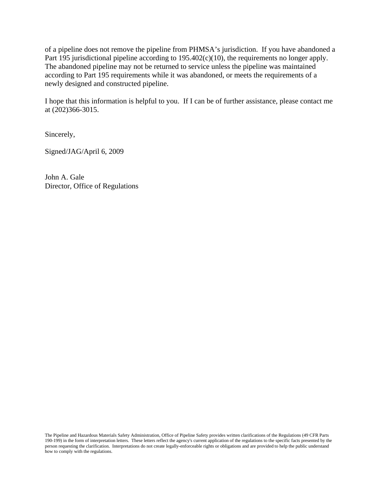of a pipeline does not remove the pipeline from PHMSA's jurisdiction. If you have abandoned a Part 195 jurisdictional pipeline according to 195.402(c)(10), the requirements no longer apply. The abandoned pipeline may not be returned to service unless the pipeline was maintained according to Part 195 requirements while it was abandoned, or meets the requirements of a newly designed and constructed pipeline.

I hope that this information is helpful to you. If I can be of further assistance, please contact me at (202)366-3015.

Sincerely,

Signed/JAG/April 6, 2009

John A. Gale Director, Office of Regulations

The Pipeline and Hazardous Materials Safety Administration, Office of Pipeline Safety provides written clarifications of the Regulations (49 CFR Parts 190-199) in the form of interpretation letters. These letters reflect the agency's current application of the regulations to the specific facts presented by the person requesting the clarification. Interpretations do not create legally-enforceable rights or obligations and are provided to help the public understand how to comply with the regulations.